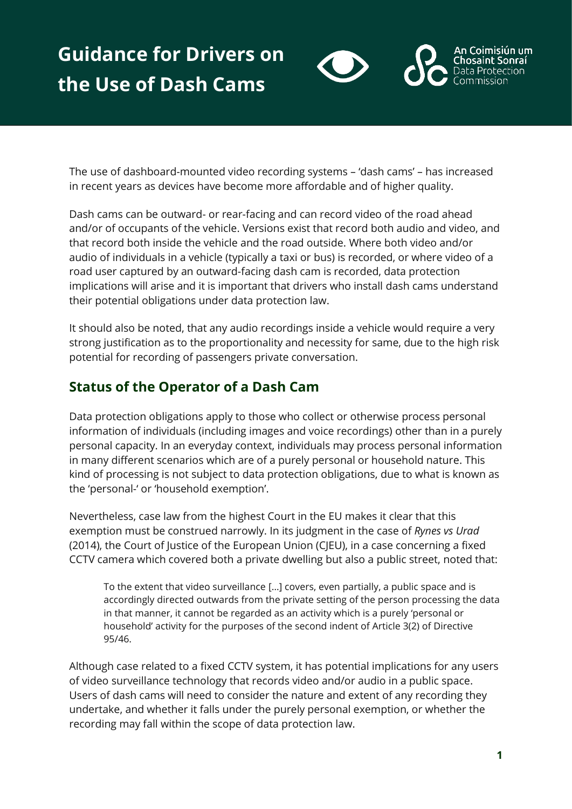# **Guidance for Drivers on the Use of Dash Cams**





The use of dashboard-mounted video recording systems – 'dash cams' – has increased in recent years as devices have become more affordable and of higher quality.

Dash cams can be outward- or rear-facing and can record video of the road ahead and/or of occupants of the vehicle. Versions exist that record both audio and video, and that record both inside the vehicle and the road outside. Where both video and/or audio of individuals in a vehicle (typically a taxi or bus) is recorded, or where video of a road user captured by an outward-facing dash cam is recorded, data protection implications will arise and it is important that drivers who install dash cams understand their potential obligations under data protection law.

It should also be noted, that any audio recordings inside a vehicle would require a very strong justification as to the proportionality and necessity for same, due to the high risk potential for recording of passengers private conversation.

## **Status of the Operator of a Dash Cam**

Data protection obligations apply to those who collect or otherwise process personal information of individuals (including images and voice recordings) other than in a purely personal capacity. In an everyday context, individuals may process personal information in many different scenarios which are of a purely personal or household nature. This kind of processing is not subject to data protection obligations, due to what is known as the 'personal-' or 'household exemption'.

Nevertheless, case law from the highest Court in the EU makes it clear that this exemption must be construed narrowly. In its judgment in the case of *Rynes vs Urad* (2014), the Court of Justice of the European Union (CJEU), in a case concerning a fixed CCTV camera which covered both a private dwelling but also a public street, noted that:

To the extent that video surveillance […] covers, even partially, a public space and is accordingly directed outwards from the private setting of the person processing the data in that manner, it cannot be regarded as an activity which is a purely 'personal or household' activity for the purposes of the second indent of Article 3(2) of Directive 95/46.

Although case related to a fixed CCTV system, it has potential implications for any users of video surveillance technology that records video and/or audio in a public space. Users of dash cams will need to consider the nature and extent of any recording they undertake, and whether it falls under the purely personal exemption, or whether the recording may fall within the scope of data protection law.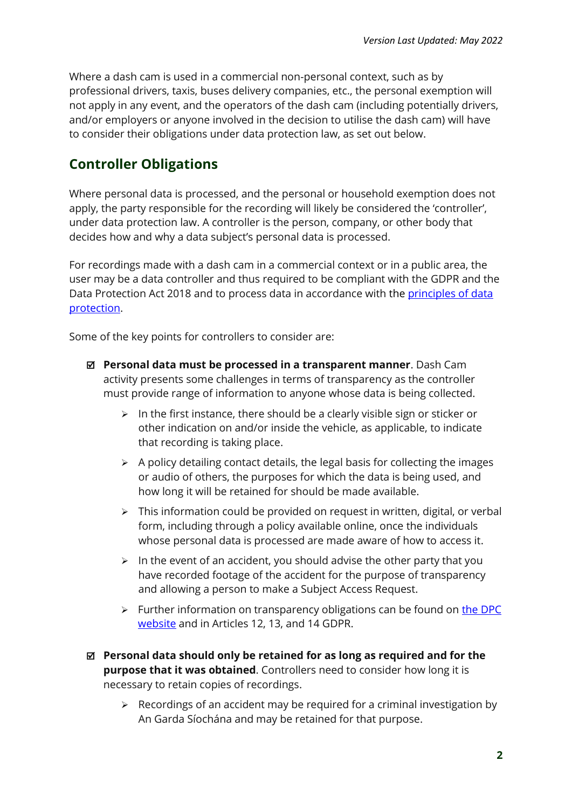Where a dash cam is used in a commercial non-personal context, such as by professional drivers, taxis, buses delivery companies, etc., the personal exemption will not apply in any event, and the operators of the dash cam (including potentially drivers, and/or employers or anyone involved in the decision to utilise the dash cam) will have to consider their obligations under data protection law, as set out below.

## **Controller Obligations**

Where personal data is processed, and the personal or household exemption does not apply, the party responsible for the recording will likely be considered the 'controller', under data protection law. A controller is the person, company, or other body that decides how and why a data subject's personal data is processed.

For recordings made with a dash cam in a commercial context or in a public area, the user may be a data controller and thus required to be compliant with the GDPR and the Data Protection Act 2018 and to process data in accordance with the *principles of data* [protection.](https://www.dataprotection.ie/en/dpc-guidance/guidance-principles-data-protection)

Some of the key points for controllers to consider are:

- **Personal data must be processed in a transparent manner**. Dash Cam activity presents some challenges in terms of transparency as the controller must provide range of information to anyone whose data is being collected.
	- $\triangleright$  In the first instance, there should be a clearly visible sign or sticker or other indication on and/or inside the vehicle, as applicable, to indicate that recording is taking place.
	- $\triangleright$  A policy detailing contact details, the legal basis for collecting the images or audio of others, the purposes for which the data is being used, and how long it will be retained for should be made available.
	- $\triangleright$  This information could be provided on request in written, digital, or verbal form, including through a policy available online, once the individuals whose personal data is processed are made aware of how to access it.
	- $\triangleright$  In the event of an accident, you should advise the other party that you have recorded footage of the accident for the purpose of transparency and allowing a person to make a Subject Access Request.
	- $\triangleright$  Further information on transparency obligations can be found on the DPC [website](https://www.dataprotection.ie/en/organisations/know-your-obligations/transparency) and in Articles 12, 13, and 14 GDPR.
- **Personal data should only be retained for as long as required and for the purpose that it was obtained**. Controllers need to consider how long it is necessary to retain copies of recordings.
	- $\triangleright$  Recordings of an accident may be required for a criminal investigation by An Garda Síochána and may be retained for that purpose.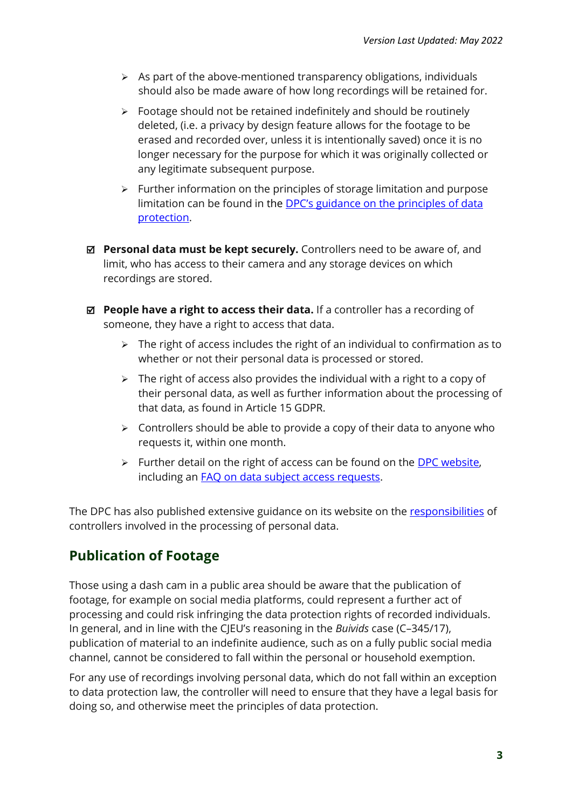- $\triangleright$  As part of the above-mentioned transparency obligations, individuals should also be made aware of how long recordings will be retained for.
- $\triangleright$  Footage should not be retained indefinitely and should be routinely deleted, (i.e. a privacy by design feature allows for the footage to be erased and recorded over, unless it is intentionally saved) once it is no longer necessary for the purpose for which it was originally collected or any legitimate subsequent purpose.
- $\triangleright$  Further information on the principles of storage limitation and purpose limitation can be found in the **DPC's guidance on the principles of data** [protection.](https://www.dataprotection.ie/en/dpc-guidance/guidance-principles-data-protection)
- **Personal data must be kept securely.** Controllers need to be aware of, and limit, who has access to their camera and any storage devices on which recordings are stored.
- **People have a right to access their data.** If a controller has a recording of someone, they have a right to access that data.
	- $\triangleright$  The right of access includes the right of an individual to confirmation as to whether or not their personal data is processed or stored.
	- $\triangleright$  The right of access also provides the individual with a right to a copy of their personal data, as well as further information about the processing of that data, as found in Article 15 GDPR.
	- $\triangleright$  Controllers should be able to provide a copy of their data to anyone who requests it, within one month.
	- $\triangleright$  Further detail on the right of access can be found on the [DPC website,](https://www.dataprotection.ie/en/organisations/know-your-obligations/access-and-portability) including an [FAQ on data subject access requests.](https://www.dataprotection.ie/en/dpc-guidance/data-subject-access-requests-faq)

The DPC has also published extensive guidance on its website on the [responsibilities](https://www.dataprotection.ie/docs/A-Guide-for-Data-Contollers/y/696.htm) of controllers involved in the processing of personal data.

#### **Publication of Footage**

Those using a dash cam in a public area should be aware that the publication of footage, for example on social media platforms, could represent a further act of processing and could risk infringing the data protection rights of recorded individuals. In general, and in line with the CJEU's reasoning in the *Buivids* case (C–345/17), publication of material to an indefinite audience, such as on a fully public social media channel, cannot be considered to fall within the personal or household exemption.

For any use of recordings involving personal data, which do not fall within an exception to data protection law, the controller will need to ensure that they have a legal basis for doing so, and otherwise meet the principles of data protection.